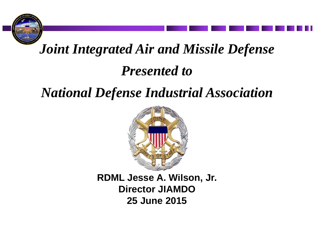

# *Joint Integrated Air and Missile Defense Presented to*

## *National Defense Industrial Association*



**RDML Jesse A. Wilson, Jr. Director JIAMDO 25 June 2015**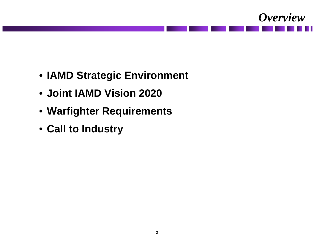

- **IAMD Strategic Environment**
- **Joint IAMD Vision 2020**
- **Warfighter Requirements**
- **Call to Industry**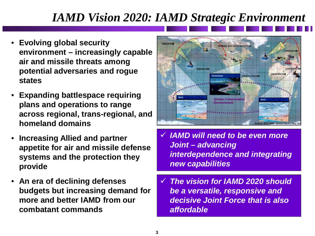### *IAMD Vision 2020: IAMD Strategic Environment*

- **Evolving global security environment – increasingly capable air and missile threats among potential adversaries and rogue states**
- **Expanding battlespace requiring plans and operations to range across regional, trans-regional, and homeland domains**
- **Increasing Allied and partner appetite for air and missile defense systems and the protection they provide**
- **An era of declining defenses budgets but increasing demand for more and better IAMD from our combatant commands**



- *IAMD will need to be even more Joint – advancing interdependence and integrating new capabilities*
- *The vision for IAMD 2020 should be a versatile, responsive and decisive Joint Force that is also affordable*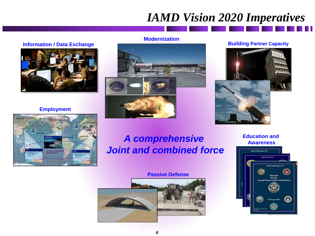### *IAMD Vision 2020 Imperatives*

#### **Modernization**

#### **Information / Data Exchange**



#### **Employment**





#### **Building Partner Capacity**



### *A comprehensive Joint and combined force*

#### **Passive Defense**



**Education and Awareness**

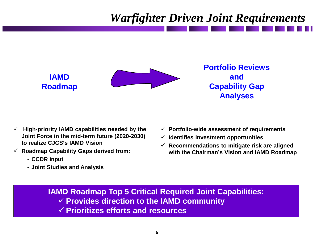### *Warfighter Driven Joint Requirements*



- **High-priority IAMD capabilities needed by the Joint Force in the mid-term future (2020-2030) to realize CJCS's IAMD Vision**
- **Roadmap Capability Gaps derived from:**
	- **CCDR input**
	- **Joint Studies and Analysis**
- **Portfolio-wide assessment of requirements**
- **Identifies investment opportunities**
- **Recommendations to mitigate risk are aligned with the Chairman's Vision and IAMD Roadmap**

**IAMD Roadmap Top 5 Critical Required Joint Capabilities: Provides direction to the IAMD community Prioritizes efforts and resources**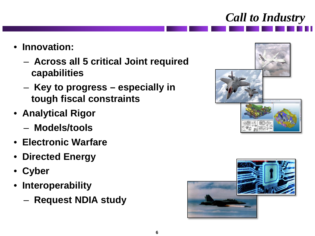

- **Innovation:**
	- **Across all 5 critical Joint required capabilities**
	- **Key to progress – especially in tough fiscal constraints**
- **Analytical Rigor**
	- **Models/tools**
- **Electronic Warfare**
- **Directed Energy**
- **Cyber**
- **Interoperability**
	- **Request NDIA study**



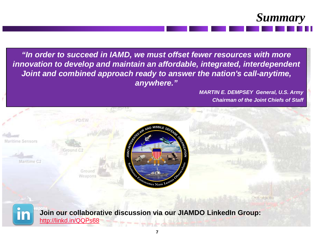

*"In order to succeed in IAMD, we must offset fewer resources with more innovation to develop and maintain an affordable, integrated, interdependent Joint and combined approach ready to answer the nation's call-anytime, anywhere."*

> *MARTIN E. DEMPSEY General, U.S. Army Chairman of the Joint Chiefs of Staff*



**Join our collaborative discussion via our JIAMDO LinkedIn Group:**

[http://linkd.in/QQPs68](http://linkd.in.com/groups?home=&gid=7466415&trk=anet_ug_hm) 

**7**